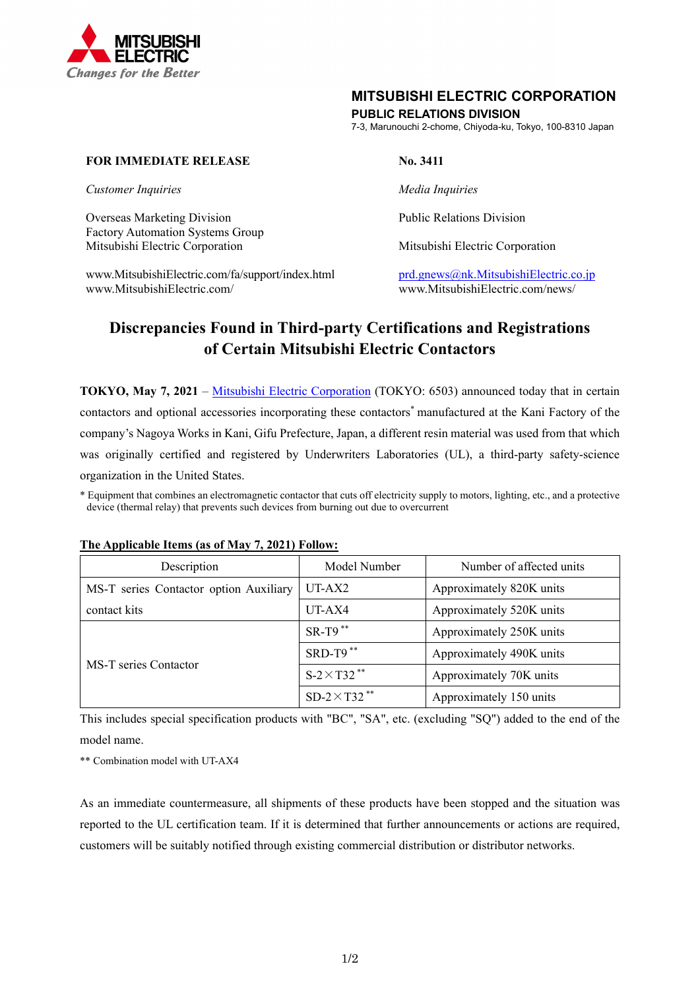

## **MITSUBISHI ELECTRIC CORPORATION**

## **PUBLIC RELATIONS DIVISION**

7-3, Marunouchi 2-chome, Chiyoda-ku, Tokyo, 100-8310 Japan

## **FOR IMMEDIATE RELEASE No. 3411**

*Customer Inquiries Media Inquiries* 

Overseas Marketing Division **Public Relations Division** Public Relations Division Factory Automation Systems Group Mitsubishi Electric Corporation Mitsubishi Electric Corporation

www.MitsubishiElectric.com/fa/support/index.html prd.gnews@nk.MitsubishiElectric.co.jp www.MitsubishiElectric.com/ www.MitsubishiElectric.com/news/

# **Discrepancies Found in Third-party Certifications and Registrations of Certain Mitsubishi Electric Contactors**

**TOKYO, May 7, 2021** – Mitsubishi Electric Corporation (TOKYO: 6503) announced today that in certain contactors and optional accessories incorporating these contactors\* manufactured at the Kani Factory of the company's Nagoya Works in Kani, Gifu Prefecture, Japan, a different resin material was used from that which was originally certified and registered by Underwriters Laboratories (UL), a third-party safety-science organization in the United States.

\* Equipment that combines an electromagnetic contactor that cuts off electricity supply to motors, lighting, etc., and a protective device (thermal relay) that prevents such devices from burning out due to overcurrent

| Description                            | Model Number                    | Number of affected units |
|----------------------------------------|---------------------------------|--------------------------|
| MS-T series Contactor option Auxiliary | UT-AX2                          | Approximately 820K units |
| contact kits                           | UT-AX4                          | Approximately 520K units |
| MS-T series Contactor                  | $SR-T9$ **                      | Approximately 250K units |
|                                        | SRD-T9**                        | Approximately 490K units |
|                                        | $S-2\times T32$ **              | Approximately 70K units  |
|                                        | SD-2 $\times$ T32 <sup>**</sup> | Approximately 150 units  |

### **The Applicable Items (as of May 7, 2021) Follow:**

This includes special specification products with "BC", "SA", etc. (excluding "SQ") added to the end of the model name.

\*\* Combination model with UT-AX4

As an immediate countermeasure, all shipments of these products have been stopped and the situation was reported to the UL certification team. If it is determined that further announcements or actions are required, customers will be suitably notified through existing commercial distribution or distributor networks.